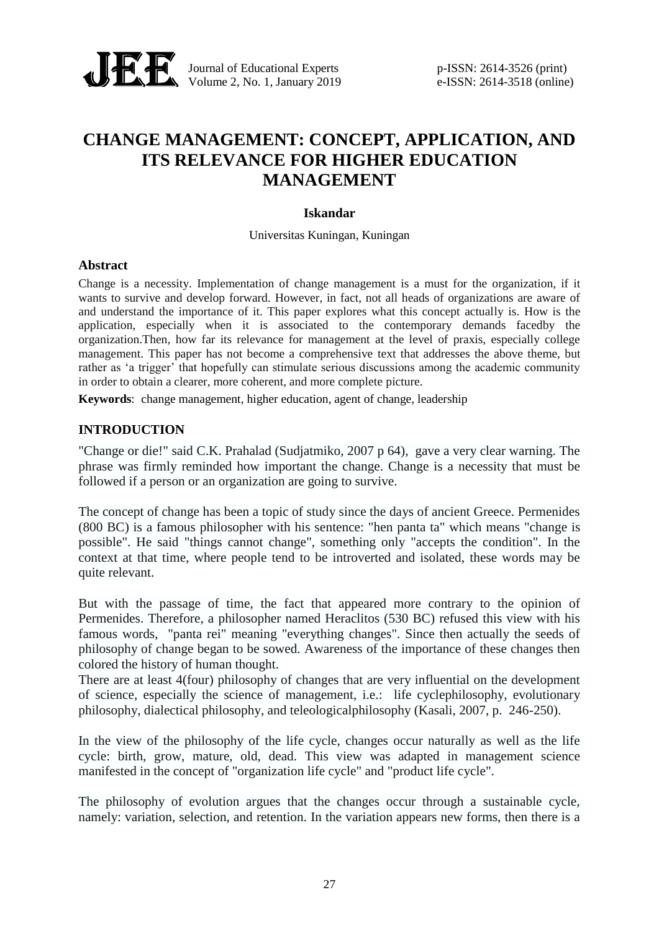

Journal of Educational Experts p-ISSN: 2614-3526 (print) Volume 2, No. 1, January 2019 e-ISSN: 2614-3518 (online)

# **CHANGE MANAGEMENT: CONCEPT, APPLICATION, AND ITS RELEVANCE FOR HIGHER EDUCATION MANAGEMENT**

## **Iskandar**

#### Universitas Kuningan, Kuningan

#### **Abstract**

Change is a necessity. Implementation of change management is a must for the organization, if it wants to survive and develop forward. However, in fact, not all heads of organizations are aware of and understand the importance of it. This paper explores what this concept actually is. How is the application, especially when it is associated to the contemporary demands facedby the organization.Then, how far its relevance for management at the level of praxis, especially college management. This paper has not become a comprehensive text that addresses the above theme, but rather as 'a trigger' that hopefully can stimulate serious discussions among the academic community in order to obtain a clearer, more coherent, and more complete picture.

**Keywords**: change management, higher education, agent of change, leadership

# **INTRODUCTION**

"Change or die!" said C.K. Prahalad (Sudjatmiko, 2007 p 64), gave a very clear warning. The phrase was firmly reminded how important the change. Change is a necessity that must be followed if a person or an organization are going to survive.

The concept of change has been a topic of study since the days of ancient Greece. Permenides (800 BC) is a famous philosopher with his sentence: "hen panta ta" which means "change is possible". He said "things cannot change", something only "accepts the condition". In the context at that time, where people tend to be introverted and isolated, these words may be quite relevant.

But with the passage of time, the fact that appeared more contrary to the opinion of Permenides. Therefore, a philosopher named Heraclitos (530 BC) refused this view with his famous words, "panta rei" meaning "everything changes". Since then actually the seeds of philosophy of change began to be sowed. Awareness of the importance of these changes then colored the history of human thought.

There are at least 4(four) philosophy of changes that are very influential on the development of science, especially the science of management, i.e.: life cyclephilosophy, evolutionary philosophy, dialectical philosophy, and teleologicalphilosophy (Kasali, 2007, p. 246-250).

In the view of the philosophy of the life cycle, changes occur naturally as well as the life cycle: birth, grow, mature, old, dead. This view was adapted in management science manifested in the concept of "organization life cycle" and "product life cycle".

The philosophy of evolution argues that the changes occur through a sustainable cycle, namely: variation, selection, and retention. In the variation appears new forms, then there is a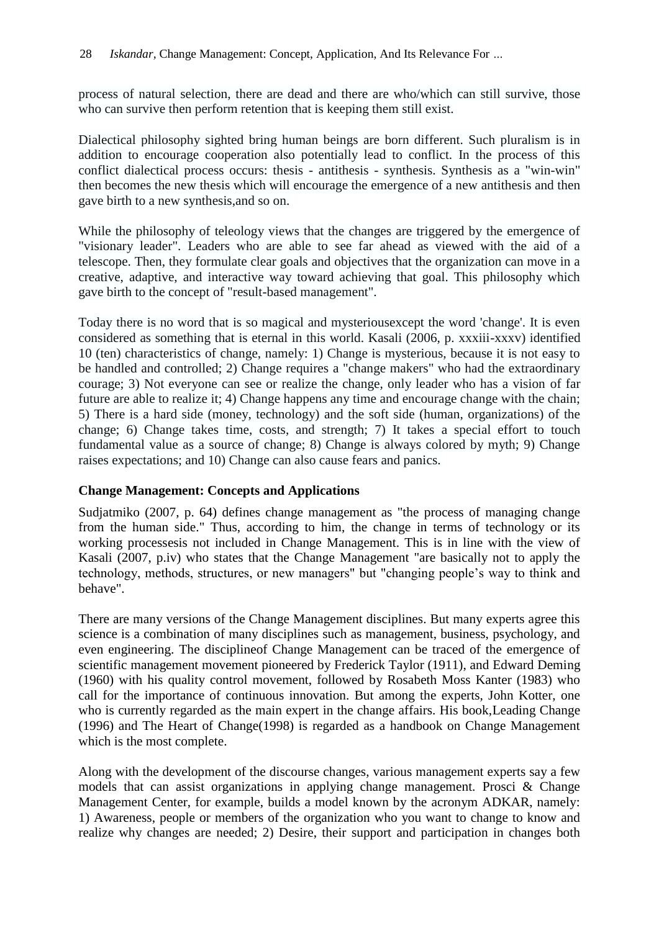process of natural selection, there are dead and there are who/which can still survive, those who can survive then perform retention that is keeping them still exist.

Dialectical philosophy sighted bring human beings are born different. Such pluralism is in addition to encourage cooperation also potentially lead to conflict. In the process of this conflict dialectical process occurs: thesis - antithesis - synthesis. Synthesis as a "win-win" then becomes the new thesis which will encourage the emergence of a new antithesis and then gave birth to a new synthesis,and so on.

While the philosophy of teleology views that the changes are triggered by the emergence of "visionary leader". Leaders who are able to see far ahead as viewed with the aid of a telescope. Then, they formulate clear goals and objectives that the organization can move in a creative, adaptive, and interactive way toward achieving that goal. This philosophy which gave birth to the concept of "result-based management".

Today there is no word that is so magical and mysteriousexcept the word 'change'. It is even considered as something that is eternal in this world. Kasali (2006, p. xxxiii-xxxv) identified 10 (ten) characteristics of change, namely: 1) Change is mysterious, because it is not easy to be handled and controlled; 2) Change requires a "change makers" who had the extraordinary courage; 3) Not everyone can see or realize the change, only leader who has a vision of far future are able to realize it; 4) Change happens any time and encourage change with the chain; 5) There is a hard side (money, technology) and the soft side (human, organizations) of the change; 6) Change takes time, costs, and strength; 7) It takes a special effort to touch fundamental value as a source of change; 8) Change is always colored by myth; 9) Change raises expectations; and 10) Change can also cause fears and panics.

## **Change Management: Concepts and Applications**

Sudjatmiko (2007, p. 64) defines change management as "the process of managing change from the human side." Thus, according to him, the change in terms of technology or its working processesis not included in Change Management. This is in line with the view of Kasali (2007, p.iv) who states that the Change Management "are basically not to apply the technology, methods, structures, or new managers" but "changing people's way to think and behave".

There are many versions of the Change Management disciplines. But many experts agree this science is a combination of many disciplines such as management, business, psychology, and even engineering. The disciplineof Change Management can be traced of the emergence of scientific management movement pioneered by Frederick Taylor (1911), and Edward Deming (1960) with his quality control movement, followed by Rosabeth Moss Kanter (1983) who call for the importance of continuous innovation. But among the experts, John Kotter, one who is currently regarded as the main expert in the change affairs. His book,Leading Change (1996) and The Heart of Change(1998) is regarded as a handbook on Change Management which is the most complete.

Along with the development of the discourse changes, various management experts say a few models that can assist organizations in applying change management. Prosci & Change Management Center, for example, builds a model known by the acronym ADKAR, namely: 1) Awareness, people or members of the organization who you want to change to know and realize why changes are needed; 2) Desire, their support and participation in changes both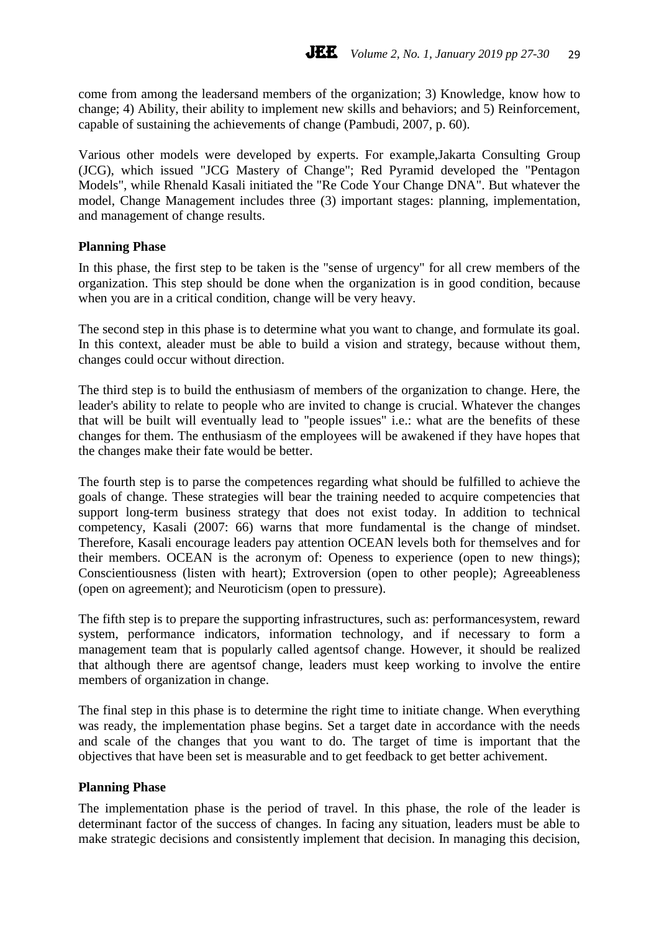come from among the leadersand members of the organization; 3) Knowledge, know how to change; 4) Ability, their ability to implement new skills and behaviors; and 5) Reinforcement, capable of sustaining the achievements of change (Pambudi, 2007, p. 60).

Various other models were developed by experts. For example,Jakarta Consulting Group (JCG), which issued "JCG Mastery of Change"; Red Pyramid developed the "Pentagon Models", while Rhenald Kasali initiated the "Re Code Your Change DNA". But whatever the model, Change Management includes three (3) important stages: planning, implementation, and management of change results.

#### **Planning Phase**

In this phase, the first step to be taken is the "sense of urgency" for all crew members of the organization. This step should be done when the organization is in good condition, because when you are in a critical condition, change will be very heavy.

The second step in this phase is to determine what you want to change, and formulate its goal. In this context, aleader must be able to build a vision and strategy, because without them, changes could occur without direction.

The third step is to build the enthusiasm of members of the organization to change. Here, the leader's ability to relate to people who are invited to change is crucial. Whatever the changes that will be built will eventually lead to "people issues" i.e.: what are the benefits of these changes for them. The enthusiasm of the employees will be awakened if they have hopes that the changes make their fate would be better.

The fourth step is to parse the competences regarding what should be fulfilled to achieve the goals of change. These strategies will bear the training needed to acquire competencies that support long-term business strategy that does not exist today. In addition to technical competency, Kasali (2007: 66) warns that more fundamental is the change of mindset. Therefore, Kasali encourage leaders pay attention OCEAN levels both for themselves and for their members. OCEAN is the acronym of: Openess to experience (open to new things); Conscientiousness (listen with heart); Extroversion (open to other people); Agreeableness (open on agreement); and Neuroticism (open to pressure).

The fifth step is to prepare the supporting infrastructures, such as: performancesystem, reward system, performance indicators, information technology, and if necessary to form a management team that is popularly called agentsof change. However, it should be realized that although there are agentsof change, leaders must keep working to involve the entire members of organization in change.

The final step in this phase is to determine the right time to initiate change. When everything was ready, the implementation phase begins. Set a target date in accordance with the needs and scale of the changes that you want to do. The target of time is important that the objectives that have been set is measurable and to get feedback to get better achivement.

#### **Planning Phase**

The implementation phase is the period of travel. In this phase, the role of the leader is determinant factor of the success of changes. In facing any situation, leaders must be able to make strategic decisions and consistently implement that decision. In managing this decision,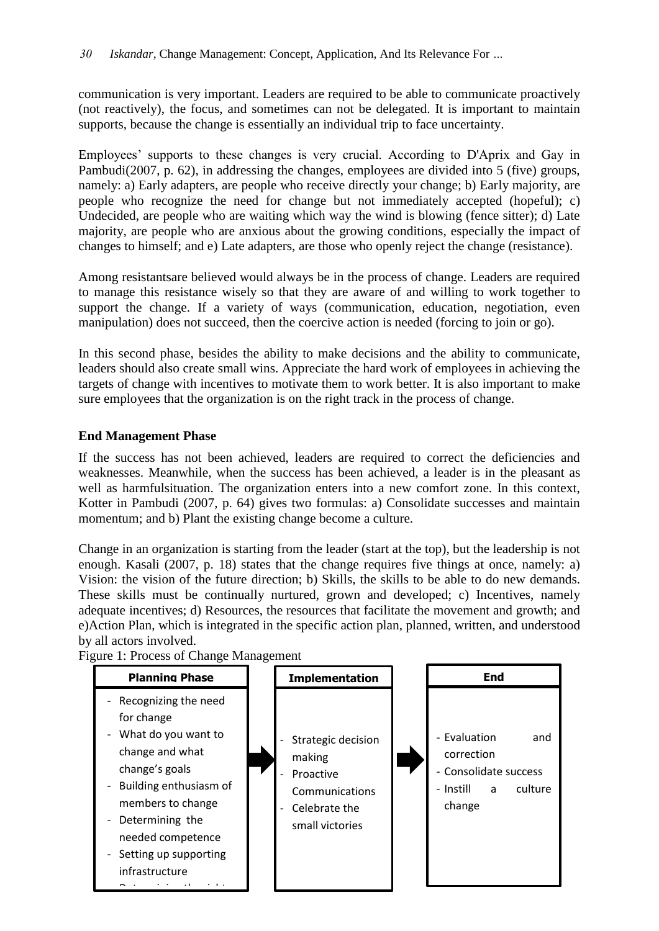communication is very important. Leaders are required to be able to communicate proactively (not reactively), the focus, and sometimes can not be delegated. It is important to maintain supports, because the change is essentially an individual trip to face uncertainty.

Employees' supports to these changes is very crucial. According to D'Aprix and Gay in Pambudi(2007, p. 62), in addressing the changes, employees are divided into 5 (five) groups, namely: a) Early adapters, are people who receive directly your change; b) Early majority, are people who recognize the need for change but not immediately accepted (hopeful); c) Undecided, are people who are waiting which way the wind is blowing (fence sitter); d) Late majority, are people who are anxious about the growing conditions, especially the impact of changes to himself; and e) Late adapters, are those who openly reject the change (resistance).

Among resistantsare believed would always be in the process of change. Leaders are required to manage this resistance wisely so that they are aware of and willing to work together to support the change. If a variety of ways (communication, education, negotiation, even manipulation) does not succeed, then the coercive action is needed (forcing to join or go).

In this second phase, besides the ability to make decisions and the ability to communicate, leaders should also create small wins. Appreciate the hard work of employees in achieving the targets of change with incentives to motivate them to work better. It is also important to make sure employees that the organization is on the right track in the process of change.

# **End Management Phase**

If the success has not been achieved, leaders are required to correct the deficiencies and weaknesses. Meanwhile, when the success has been achieved, a leader is in the pleasant as well as harmfulsituation. The organization enters into a new comfort zone. In this context, Kotter in Pambudi (2007, p. 64) gives two formulas: a) Consolidate successes and maintain momentum; and b) Plant the existing change become a culture.

Change in an organization is starting from the leader (start at the top), but the leadership is not enough. Kasali (2007, p. 18) states that the change requires five things at once, namely: a) Vision: the vision of the future direction; b) Skills, the skills to be able to do new demands. These skills must be continually nurtured, grown and developed; c) Incentives, namely adequate incentives; d) Resources, the resources that facilitate the movement and growth; and e)Action Plan, which is integrated in the specific action plan, planned, written, and understood by all actors involved.

**Planning Phase** - Recognizing the need for change - What do you want to change and what change's goals - Building enthusiasm of members to change - Determining the needed competence - Setting up supporting infrastructure - Determining the right **Implementation** Strategic decision making **Proactive** Communications Celebrate the small victories **End**  - Evaluation and correction Consolidate success - Instill a culture change

Figure 1: Process of Change Management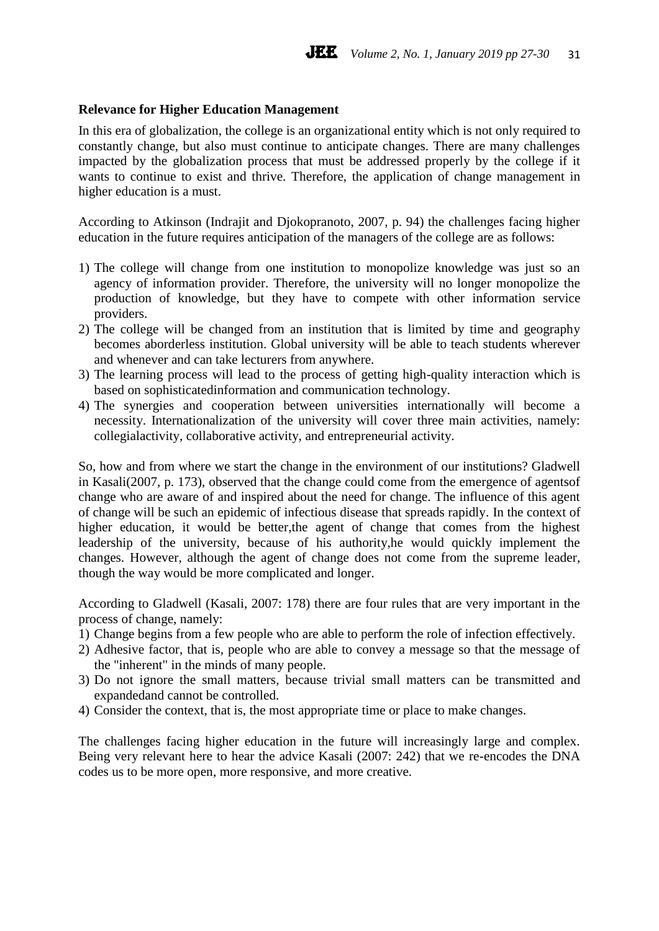#### **Relevance for Higher Education Management**

In this era of globalization, the college is an organizational entity which is not only required to constantly change, but also must continue to anticipate changes. There are many challenges impacted by the globalization process that must be addressed properly by the college if it wants to continue to exist and thrive. Therefore, the application of change management in higher education is a must.

According to Atkinson (Indrajit and Djokopranoto, 2007, p. 94) the challenges facing higher education in the future requires anticipation of the managers of the college are as follows:

- 1) The college will change from one institution to monopolize knowledge was just so an agency of information provider. Therefore, the university will no longer monopolize the production of knowledge, but they have to compete with other information service providers.
- 2) The college will be changed from an institution that is limited by time and geography becomes aborderless institution. Global university will be able to teach students wherever and whenever and can take lecturers from anywhere.
- 3) The learning process will lead to the process of getting high-quality interaction which is based on sophisticatedinformation and communication technology.
- 4) The synergies and cooperation between universities internationally will become a necessity. Internationalization of the university will cover three main activities, namely: collegialactivity, collaborative activity, and entrepreneurial activity.

So, how and from where we start the change in the environment of our institutions? Gladwell in Kasali(2007, p. 173), observed that the change could come from the emergence of agentsof change who are aware of and inspired about the need for change. The influence of this agent of change will be such an epidemic of infectious disease that spreads rapidly. In the context of higher education, it would be better,the agent of change that comes from the highest leadership of the university, because of his authority,he would quickly implement the changes. However, although the agent of change does not come from the supreme leader, though the way would be more complicated and longer.

According to Gladwell (Kasali, 2007: 178) there are four rules that are very important in the process of change, namely:

- 1) Change begins from a few people who are able to perform the role of infection effectively.
- 2) Adhesive factor, that is, people who are able to convey a message so that the message of the "inherent" in the minds of many people.
- 3) Do not ignore the small matters, because trivial small matters can be transmitted and expandedand cannot be controlled.
- 4) Consider the context, that is, the most appropriate time or place to make changes.

The challenges facing higher education in the future will increasingly large and complex. Being very relevant here to hear the advice Kasali (2007: 242) that we re-encodes the DNA codes us to be more open, more responsive, and more creative.